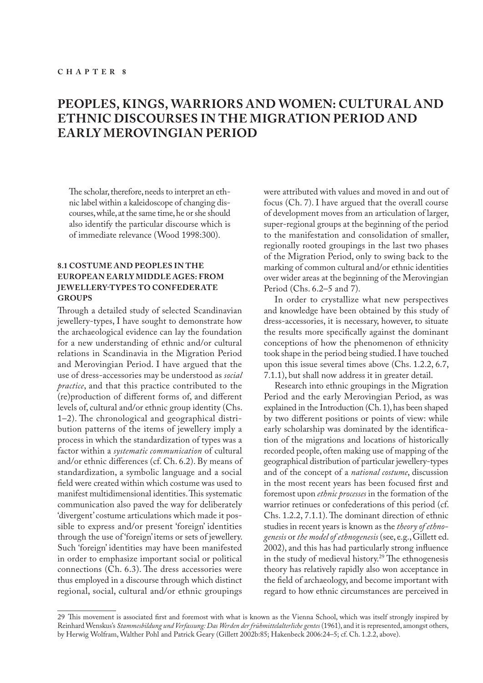# **PEOPLES, KINGS, WARRIORS AND WOMEN: CULTURAL AND ETHNIC DISCOURSES IN THE MIGRATION PERIOD AND EARLY MEROVINGIAN PERIOD**

The scholar, therefore, needs to interpret an ethnic label within a kaleidoscope of changing discourses, while, at the same time, he or she should also identify the particular discourse which is of immediate relevance (Wood 1998:300).

# **8.1 COSTUME AND PEOPLES IN THE EUROPEAN EARLY MIDDLE AGES: FROM JEWELLERY-TYPES TO CONFEDERATE GROUPS**

Through a detailed study of selected Scandinavian jewellery-types, I have sought to demonstrate how the archaeological evidence can lay the foundation for a new understanding of ethnic and/or cultural relations in Scandinavia in the Migration Period and Merovingian Period. I have argued that the use of dress-accessories may be understood as *social practice*, and that this practice contributed to the (re)production of different forms of, and different levels of, cultural and/or ethnic group identity (Chs. 1–2). The chronological and geographical distribution patterns of the items of jewellery imply a process in which the standardization of types was a factor within a *systematic communication* of cultural and/or ethnic differences (cf. Ch. 6.2). By means of standardization, a symbolic language and a social field were created within which costume was used to manifest multidimensional identities. This systematic communication also paved the way for deliberately 'divergent' costume articulations which made it possible to express and/or present 'foreign' identities through the use of 'foreign' items or sets of jewellery. Such 'foreign' identities may have been manifested in order to emphasize important social or political connections (Ch. 6.3). The dress accessories were thus employed in a discourse through which distinct regional, social, cultural and/or ethnic groupings

were attributed with values and moved in and out of focus (Ch. 7). I have argued that the overall course of development moves from an articulation of larger, super-regional groups at the beginning of the period to the manifestation and consolidation of smaller, regionally rooted groupings in the last two phases of the Migration Period, only to swing back to the marking of common cultural and/or ethnic identities over wider areas at the beginning of the Merovingian Period (Chs. 6.2–5 and 7).

In order to crystallize what new perspectives and knowledge have been obtained by this study of dress-accessories, it is necessary, however, to situate the results more specifically against the dominant conceptions of how the phenomenon of ethnicity took shape in the period being studied. I have touched upon this issue several times above (Chs. 1.2.2, 6.7, 7.1.1), but shall now address it in greater detail.

Research into ethnic groupings in the Migration Period and the early Merovingian Period, as was explained in the Introduction (Ch. 1), has been shaped by two different positions or points of view: while early scholarship was dominated by the identification of the migrations and locations of historically recorded people, often making use of mapping of the geographical distribution of particular jewellery-types and of the concept of a *national costume*, discussion in the most recent years has been focused first and foremost upon *ethnic processes* in the formation of the warrior retinues or confederations of this period (cf. Chs. 1.2.2, 7.1.1). The dominant direction of ethnic studies in recent years is known as the *theory of ethnogenesis* or *the model of ethnogenesis* (see, e.g., Gillett ed. 2002), and this has had particularly strong influence in the study of medieval history.<sup>29</sup> The ethnogenesis theory has relatively rapidly also won acceptance in the field of archaeology, and become important with regard to how ethnic circumstances are perceived in

<sup>29</sup> This movement is associated first and foremost with what is known as the Vienna School, which was itself strongly inspired by Reinhard Wenskus's *Stammesbildung und Verfassung: Das Werden der frühmittelalterliche gentes* (1961), and it is represented, amongst others, by Herwig Wolfram, Walther Pohl and Patrick Geary (Gillett 2002b:85; Hakenbeck 2006:24–5; cf. Ch. 1.2.2, above).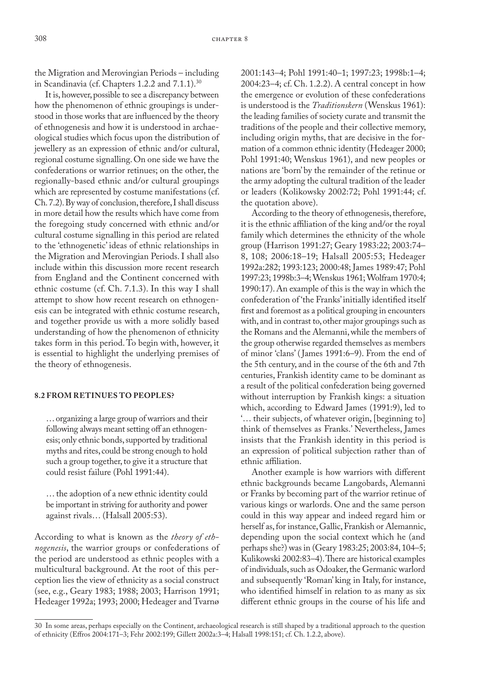the Migration and Merovingian Periods – including in Scandinavia (cf. Chapters 1.2.2 and 7.1.1).<sup>30</sup>

It is, however, possible to see a discrepancy between how the phenomenon of ethnic groupings is understood in those works that are influenced by the theory of ethnogenesis and how it is understood in archaeological studies which focus upon the distribution of jewellery as an expression of ethnic and/or cultural, regional costume signalling. On one side we have the confederations or warrior retinues; on the other, the regionally-based ethnic and/or cultural groupings which are represented by costume manifestations (cf. Ch. 7.2). By way of conclusion, therefore, I shall discuss in more detail how the results which have come from the foregoing study concerned with ethnic and/or cultural costume signalling in this period are related to the 'ethnogenetic' ideas of ethnic relationships in the Migration and Merovingian Periods. I shall also include within this discussion more recent research from England and the Continent concerned with ethnic costume (cf. Ch. 7.1.3). In this way I shall attempt to show how recent research on ethnogenesis can be integrated with ethnic costume research, and together provide us with a more solidly based understanding of how the phenomenon of ethnicity takes form in this period. To begin with, however, it is essential to highlight the underlying premises of the theory of ethnogenesis.

### **8.2 FROM RETINUES TO PEOPLES?**

… organizing a large group of warriors and their following always meant setting off an ethnogenesis; only ethnic bonds, supported by traditional myths and rites, could be strong enough to hold such a group together, to give it a structure that could resist failure (Pohl 1991:44).

… the adoption of a new ethnic identity could be important in striving for authority and power against rivals… (Halsall 2005:53).

According to what is known as the *theory of ethnogenesis*, the warrior groups or confederations of the period are understood as ethnic peoples with a multicultural background. At the root of this perception lies the view of ethnicity as a social construct (see, e.g., Geary 1983; 1988; 2003; Harrison 1991; Hedeager 1992a; 1993; 2000; Hedeager and Tvarnø

2001:143–4; Pohl 1991:40–1; 1997:23; 1998b:1–4; 2004:23–4; cf. Ch. 1.2.2). A central concept in how the emergence or evolution of these confederations is understood is the *Traditionskern* (Wenskus 1961): the leading families of society curate and transmit the traditions of the people and their collective memory, including origin myths, that are decisive in the formation of a common ethnic identity (Hedeager 2000; Pohl 1991:40; Wenskus 1961), and new peoples or nations are 'born' by the remainder of the retinue or the army adopting the cultural tradition of the leader or leaders (Kolikowsky 2002:72; Pohl 1991:44; cf. the quotation above).

According to the theory of ethnogenesis, therefore, it is the ethnic affiliation of the king and/or the royal family which determines the ethnicity of the whole group (Harrison 1991:27; Geary 1983:22; 2003:74– 8, 108; 2006:18–19; Halsall 2005:53; Hedeager 1992a:282; 1993:123; 2000:48; James 1989:47; Pohl 1997:23; 1998b:3–4; Wenskus 1961; Wolfram 1970:4; 1990:17). An example of this is the way in which the confederation of 'the Franks' initially identified itself first and foremost as a political grouping in encounters with, and in contrast to, other major groupings such as the Romans and the Alemanni, while the members of the group otherwise regarded themselves as members of minor 'clans' ( James 1991:6–9). From the end of the 5th century, and in the course of the 6th and 7th centuries, Frankish identity came to be dominant as a result of the political confederation being governed without interruption by Frankish kings: a situation which, according to Edward James (1991:9), led to '… their subjects, of whatever origin, [beginning to] think of themselves as Franks.' Nevertheless, James insists that the Frankish identity in this period is an expression of political subjection rather than of ethnic affiliation.

Another example is how warriors with different ethnic backgrounds became Langobards, Alemanni or Franks by becoming part of the warrior retinue of various kings or warlords. One and the same person could in this way appear and indeed regard him or herself as, for instance, Gallic, Frankish or Alemannic, depending upon the social context which he (and perhaps she?) was in (Geary 1983:25; 2003:84, 104–5; Kulikowski 2002:83–4). There are historical examples of individuals, such as Odoaker, the Germanic warlord and subsequently 'Roman' king in Italy, for instance, who identified himself in relation to as many as six different ethnic groups in the course of his life and

<sup>30</sup> In some areas, perhaps especially on the Continent, archaeological research is still shaped by a traditional approach to the question of ethnicity (Effros 2004:171–3; Fehr 2002:199; Gillett 2002a:3–4; Halsall 1998:151; cf. Ch. 1.2.2, above).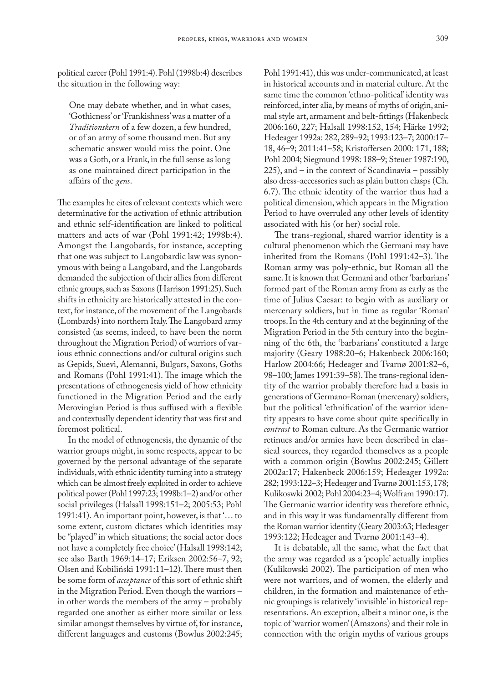political career (Pohl 1991:4). Pohl (1998b:4) describes the situation in the following way:

One may debate whether, and in what cases, 'Gothicness' or 'Frankishness' was a matter of a *Traditionskern* of a few dozen, a few hundred, or of an army of some thousand men. But any schematic answer would miss the point. One was a Goth, or a Frank, in the full sense as long as one maintained direct participation in the affairs of the *gens*.

The examples he cites of relevant contexts which were determinative for the activation of ethnic attribution and ethnic self-identification are linked to political matters and acts of war (Pohl 1991:42; 1998b:4). Amongst the Langobards, for instance, accepting that one was subject to Langobardic law was synonymous with being a Langobard, and the Langobards demanded the subjection of their allies from different ethnic groups, such as Saxons (Harrison 1991:25). Such shifts in ethnicity are historically attested in the context, for instance, of the movement of the Langobards (Lombards) into northern Italy. The Langobard army consisted (as seems, indeed, to have been the norm throughout the Migration Period) of warriors of various ethnic connections and/or cultural origins such as Gepids, Suevi, Alemanni, Bulgars, Saxons, Goths and Romans (Pohl 1991:41). The image which the presentations of ethnogenesis yield of how ethnicity functioned in the Migration Period and the early Merovingian Period is thus suffused with a flexible and contextually dependent identity that was first and foremost political.

In the model of ethnogenesis, the dynamic of the warrior groups might, in some respects, appear to be governed by the personal advantage of the separate individuals, with ethnic identity turning into a strategy which can be almost freely exploited in order to achieve political power (Pohl 1997:23; 1998b:1–2) and/or other social privileges (Halsall 1998:151–2; 2005:53; Pohl 1991:41). An important point, however, is that '… to some extent, custom dictates which identities may be "played" in which situations; the social actor does not have a completely free choice' (Halsall 1998:142; see also Barth 1969:14–17; Eriksen 2002:56–7, 92; Olsen and Kobiliński 1991:11–12). There must then be some form of *acceptance* of this sort of ethnic shift in the Migration Period. Even though the warriors – in other words the members of the army – probably regarded one another as either more similar or less similar amongst themselves by virtue of, for instance, different languages and customs (Bowlus 2002:245; Pohl 1991:41), this was under-communicated, at least in historical accounts and in material culture. At the same time the common 'ethno-political' identity was reinforced, inter alia, by means of myths of origin, animal style art, armament and belt-fittings (Hakenbeck 2006:160, 227; Halsall 1998:152, 154; Härke 1992; Hedeager 1992a: 282, 289–92; 1993:123–7; 2000:17– 18, 46–9; 2011:41–58; Kristoffersen 2000: 171, 188; Pohl 2004; Siegmund 1998: 188–9; Steuer 1987:190, 225), and – in the context of Scandinavia – possibly also dress-accessories such as plain button clasps (Ch. 6.7). The ethnic identity of the warrior thus had a political dimension, which appears in the Migration Period to have overruled any other levels of identity associated with his (or her) social role.

The trans-regional, shared warrior identity is a cultural phenomenon which the Germani may have inherited from the Romans (Pohl 1991:42–3). The Roman army was poly-ethnic, but Roman all the same. It is known that Germani and other 'barbarians' formed part of the Roman army from as early as the time of Julius Caesar: to begin with as auxiliary or mercenary soldiers, but in time as regular 'Roman' troops. In the 4th century and at the beginning of the Migration Period in the 5th century into the beginning of the 6th, the 'barbarians' constituted a large majority (Geary 1988:20–6; Hakenbeck 2006:160; Harlow 2004:66; Hedeager and Tvarnø 2001:82–6, 98–100; James 1991:39–58). The trans-regional identity of the warrior probably therefore had a basis in generations of Germano-Roman (mercenary) soldiers, but the political 'ethnification' of the warrior identity appears to have come about quite specifically in *contrast* to Roman culture. As the Germanic warrior retinues and/or armies have been described in classical sources, they regarded themselves as a people with a common origin (Bowlus 2002:245; Gillett 2002a:17; Hakenbeck 2006:159; Hedeager 1992a: 282; 1993:122–3; Hedeager and Tvarnø 2001:153, 178; Kulikoswki 2002; Pohl 2004:23–4; Wolfram 1990:17). The Germanic warrior identity was therefore ethnic, and in this way it was fundamentally different from the Roman warrior identity (Geary 2003:63; Hedeager 1993:122; Hedeager and Tvarnø 2001:143–4).

It is debatable, all the same, what the fact that the army was regarded as a 'people' actually implies (Kulikowski 2002). The participation of men who were not warriors, and of women, the elderly and children, in the formation and maintenance of ethnic groupings is relatively 'invisible' in historical representations. An exception, albeit a minor one, is the topic of 'warrior women' (Amazons) and their role in connection with the origin myths of various groups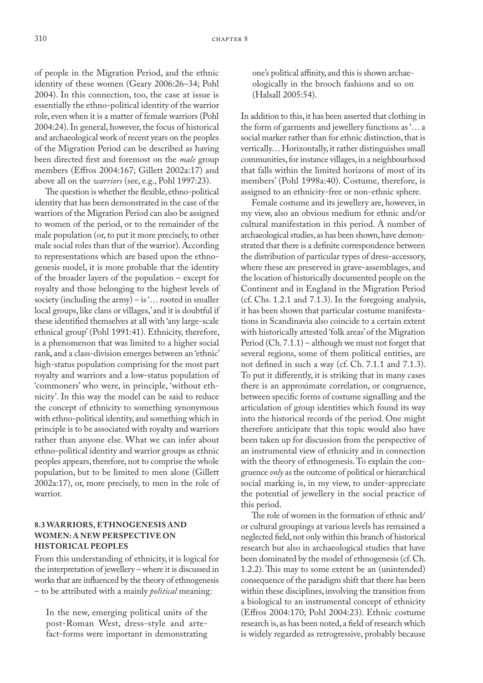of people in the Migration Period, and the ethnic identity of these women (Geary 2006:26–34; Pohl 2004). In this connection, too, the case at issue is essentially the ethno-political identity of the warrior role, even when it is a matter of female warriors (Pohl 2004:24). In general, however, the focus of historical and archaeological work of recent years on the peoples of the Migration Period can be described as having been directed first and foremost on the *male* group members (Effros 2004:167; Gillett 2002a:17) and above all on the *warriors* (see, e.g., Pohl 1997:23).

The question is whether the flexible, ethno-political identity that has been demonstrated in the case of the warriors of the Migration Period can also be assigned to women of the period, or to the remainder of the male population (or, to put it more precisely, to other male social roles than that of the warrior). According to representations which are based upon the ethnogenesis model, it is more probable that the identity of the broader layers of the population – except for royalty and those belonging to the highest levels of society (including the army) – is '… rooted in smaller local groups, like clans or villages,' and it is doubtful if these identified themselves at all with 'any large-scale ethnical group' (Pohl 1991:41). Ethnicity, therefore, is a phenomenon that was limited to a higher social rank, and a class-division emerges between an 'ethnic' high-status population comprising for the most part royalty and warriors and a low-status population of 'commoners' who were, in principle, 'without ethnicity'. In this way the model can be said to reduce the concept of ethnicity to something synonymous with ethno-political identity, and something which in principle is to be associated with royalty and warriors rather than anyone else. What we can infer about ethno-political identity and warrior groups as ethnic peoples appears, therefore, not to comprise the whole population, but to be limited to men alone (Gillett 2002a:17), or, more precisely, to men in the role of warrior.

# **8.3 WARRIORS, ETHNOGENESIS AND WOMEN: A NEW PERSPECTIVE ON HISTORICAL PEOPLES**

From this understanding of ethnicity, it is logical for the interpretation of jewellery – where it is discussed in works that are influenced by the theory of ethnogenesis – to be attributed with a mainly *political* meaning:

In the new, emerging political units of the post-Roman West, dress-style and artefact-forms were important in demonstrating one's political affinity, and this is shown archaeologically in the brooch fashions and so on (Halsall 2005:54).

In addition to this, it has been asserted that clothing in the form of garments and jewellery functions as '… a social marker rather than for ethnic distinction, that is vertically… Horizontally, it rather distinguishes small communities, for instance villages, in a neighbourhood that falls within the limited horizons of most of its members' (Pohl 1998a:40). Costume, therefore, is assigned to an ethnicity-free or non-ethnic sphere.

Female costume and its jewellery are, however, in my view, also an obvious medium for ethnic and/or cultural manifestation in this period. A number of archaeological studies, as has been shown, have demonstrated that there is a definite correspondence between the distribution of particular types of dress-accessory, where these are preserved in grave-assemblages, and the location of historically documented people on the Continent and in England in the Migration Period (cf. Chs. 1.2.1 and 7.1.3). In the foregoing analysis, it has been shown that particular costume manifestations in Scandinavia also coincide to a certain extent with historically attested 'folk areas' of the Migration Period (Ch. 7.1.1) – although we must not forget that several regions, some of them political entities, are not defined in such a way (cf. Ch. 7.1.1 and 7.1.3). To put it differently, it is striking that in many cases there is an approximate correlation, or congruence, between specific forms of costume signalling and the articulation of group identities which found its way into the historical records of the period. One might therefore anticipate that this topic would also have been taken up for discussion from the perspective of an instrumental view of ethnicity and in connection with the theory of ethnogenesis. To explain the congruence *only* as the outcome of political or hierarchical social marking is, in my view, to under-appreciate the potential of jewellery in the social practice of this period.

The role of women in the formation of ethnic and/ or cultural groupings at various levels has remained a neglected field, not only within this branch of historical research but also in archaeological studies that have been dominated by the model of ethnogenesis (cf. Ch. 1.2.2). This may to some extent be an (unintended) consequence of the paradigm shift that there has been within these disciplines, involving the transition from a biological to an instrumental concept of ethnicity (Effros 2004:170; Pohl 2004:23). Ethnic costume research is, as has been noted, a field of research which is widely regarded as retrogressive, probably because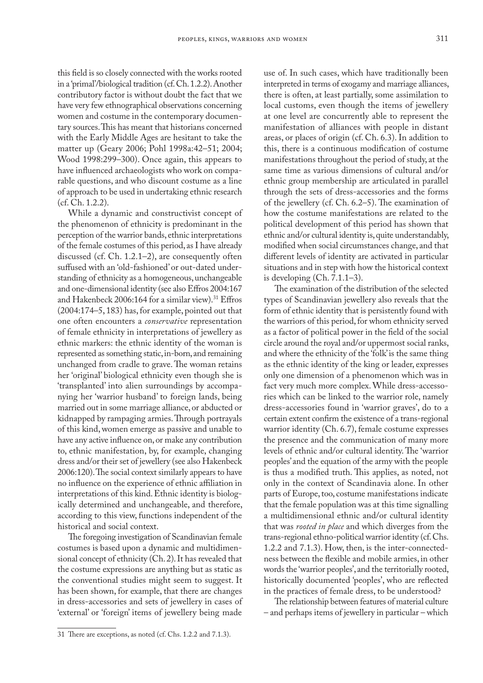this field is so closely connected with the works rooted in a 'primal'/biological tradition (cf. Ch. 1.2.2). Another contributory factor is without doubt the fact that we have very few ethnographical observations concerning women and costume in the contemporary documentary sources. This has meant that historians concerned with the Early Middle Ages are hesitant to take the matter up (Geary 2006; Pohl 1998a:42–51; 2004; Wood 1998:299–300). Once again, this appears to have influenced archaeologists who work on comparable questions, and who discount costume as a line of approach to be used in undertaking ethnic research (cf. Ch. 1.2.2).

While a dynamic and constructivist concept of the phenomenon of ethnicity is predominant in the perception of the warrior bands, ethnic interpretations of the female costumes of this period, as I have already discussed (cf. Ch. 1.2.1–2), are consequently often suffused with an 'old-fashioned' or out-dated understanding of ethnicity as a homogeneous, unchangeable and one-dimensional identity (see also Effros 2004:167 and Hakenbeck 2006:164 for a similar view).<sup>31</sup> Effros (2004:174–5, 183) has, for example, pointed out that one often encounters a *conservative* representation of female ethnicity in interpretations of jewellery as ethnic markers: the ethnic identity of the woman is represented as something static, in-born, and remaining unchanged from cradle to grave. The woman retains her 'original' biological ethnicity even though she is 'transplanted' into alien surroundings by accompanying her 'warrior husband' to foreign lands, being married out in some marriage alliance, or abducted or kidnapped by rampaging armies. Through portrayals of this kind, women emerge as passive and unable to have any active influence on, or make any contribution to, ethnic manifestation, by, for example, changing dress and/or their set of jewellery (see also Hakenbeck 2006:120). The social context similarly appears to have no influence on the experience of ethnic affiliation in interpretations of this kind. Ethnic identity is biologically determined and unchangeable, and therefore, according to this view, functions independent of the historical and social context.

The foregoing investigation of Scandinavian female costumes is based upon a dynamic and multidimensional concept of ethnicity (Ch. 2). It has revealed that the costume expressions are anything but as static as the conventional studies might seem to suggest. It has been shown, for example, that there are changes in dress-accessories and sets of jewellery in cases of 'external' or 'foreign' items of jewellery being made

use of. In such cases, which have traditionally been interpreted in terms of exogamy and marriage alliances, there is often, at least partially, some assimilation to local customs, even though the items of jewellery at one level are concurrently able to represent the manifestation of alliances with people in distant areas, or places of origin (cf. Ch. 6.3). In addition to this, there is a continuous modification of costume manifestations throughout the period of study, at the same time as various dimensions of cultural and/or ethnic group membership are articulated in parallel through the sets of dress-accessories and the forms of the jewellery (cf. Ch. 6.2–5). The examination of how the costume manifestations are related to the political development of this period has shown that ethnic and/or cultural identity is, quite understandably, modified when social circumstances change, and that different levels of identity are activated in particular situations and in step with how the historical context is developing (Ch. 7.1.1–3).

The examination of the distribution of the selected types of Scandinavian jewellery also reveals that the form of ethnic identity that is persistently found with the warriors of this period, for whom ethnicity served as a factor of political power in the field of the social circle around the royal and/or uppermost social ranks, and where the ethnicity of the 'folk' is the same thing as the ethnic identity of the king or leader, expresses only one dimension of a phenomenon which was in fact very much more complex. While dress-accessories which can be linked to the warrior role, namely dress-accessories found in 'warrior graves', do to a certain extent confirm the existence of a trans-regional warrior identity (Ch. 6.7), female costume expresses the presence and the communication of many more levels of ethnic and/or cultural identity. The 'warrior peoples' and the equation of the army with the people is thus a modified truth. This applies, as noted, not only in the context of Scandinavia alone. In other parts of Europe, too, costume manifestations indicate that the female population was at this time signalling a multidimensional ethnic and/or cultural identity that was *rooted in place* and which diverges from the trans-regional ethno-political warrior identity (cf. Chs. 1.2.2 and 7.1.3). How, then, is the inter-connectedness between the flexible and mobile armies, in other words the 'warrior peoples', and the territorially rooted, historically documented 'peoples', who are reflected in the practices of female dress, to be understood?

The relationship between features of material culture – and perhaps items of jewellery in particular – which

<sup>31</sup> There are exceptions, as noted (cf. Chs. 1.2.2 and 7.1.3).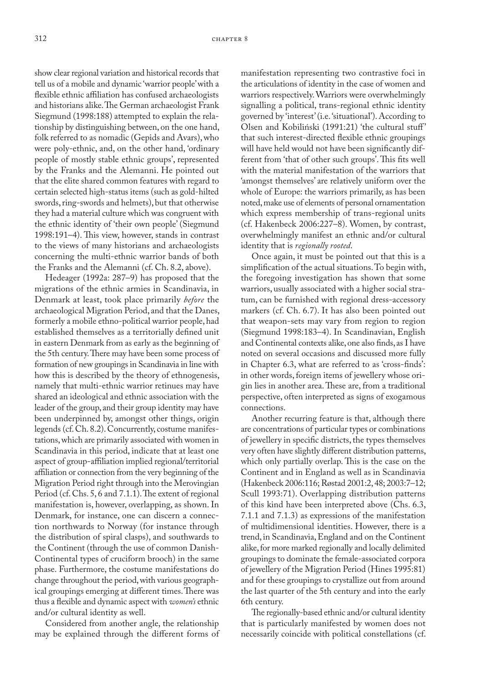show clear regional variation and historical records that tell us of a mobile and dynamic 'warrior people' with a flexible ethnic affiliation has confused archaeologists and historians alike. The German archaeologist Frank Siegmund (1998:188) attempted to explain the relationship by distinguishing between, on the one hand, folk referred to as nomadic (Gepids and Avars), who were poly-ethnic, and, on the other hand, 'ordinary people of mostly stable ethnic groups', represented by the Franks and the Alemanni. He pointed out that the elite shared common features with regard to certain selected high-status items (such as gold-hilted swords, ring-swords and helmets), but that otherwise they had a material culture which was congruent with the ethnic identity of 'their own people' (Siegmund 1998:191–4). This view, however, stands in contrast to the views of many historians and archaeologists concerning the multi-ethnic warrior bands of both the Franks and the Alemanni (cf. Ch. 8.2, above).

Hedeager (1992a: 287–9) has proposed that the migrations of the ethnic armies in Scandinavia, in Denmark at least, took place primarily *before* the archaeological Migration Period, and that the Danes, formerly a mobile ethno-political warrior people, had established themselves as a territorially defined unit in eastern Denmark from as early as the beginning of the 5th century. There may have been some process of formation of new groupings in Scandinavia in line with how this is described by the theory of ethnogenesis, namely that multi-ethnic warrior retinues may have shared an ideological and ethnic association with the leader of the group, and their group identity may have been underpinned by, amongst other things, origin legends (cf. Ch. 8.2). Concurrently, costume manifestations, which are primarily associated with women in Scandinavia in this period, indicate that at least one aspect of group-affiliation implied regional/territorial affiliation or connection from the very beginning of the Migration Period right through into the Merovingian Period (cf. Chs. 5, 6 and 7.1.1). The extent of regional manifestation is, however, overlapping, as shown. In Denmark, for instance, one can discern a connection northwards to Norway (for instance through the distribution of spiral clasps), and southwards to the Continent (through the use of common Danish-Continental types of cruciform brooch) in the same phase. Furthermore, the costume manifestations do change throughout the period, with various geographical groupings emerging at different times. There was thus a flexible and dynamic aspect with *women's* ethnic and/or cultural identity as well.

Considered from another angle, the relationship may be explained through the different forms of

manifestation representing two contrastive foci in the articulations of identity in the case of women and warriors respectively. Warriors were overwhelmingly signalling a political, trans-regional ethnic identity governed by 'interest' (i.e. 'situational'). According to Olsen and Kobiliński (1991:21) 'the cultural stuff' that such interest-directed flexible ethnic groupings will have held would not have been significantly different from 'that of other such groups'. This fits well with the material manifestation of the warriors that 'amongst themselves' are relatively uniform over the whole of Europe: the warriors primarily, as has been noted, make use of elements of personal ornamentation which express membership of trans-regional units (cf. Hakenbeck 2006:227–8). Women, by contrast, overwhelmingly manifest an ethnic and/or cultural identity that is *regionally rooted*.

Once again, it must be pointed out that this is a simplification of the actual situations. To begin with, the foregoing investigation has shown that some warriors, usually associated with a higher social stratum, can be furnished with regional dress-accessory markers (cf. Ch. 6.7). It has also been pointed out that weapon-sets may vary from region to region (Siegmund 1998:183–4). In Scandinavian, English and Continental contexts alike, one also finds, as I have noted on several occasions and discussed more fully in Chapter 6.3, what are referred to as 'cross-finds': in other words, foreign items of jewellery whose origin lies in another area. These are, from a traditional perspective, often interpreted as signs of exogamous connections.

Another recurring feature is that, although there are concentrations of particular types or combinations of jewellery in specific districts, the types themselves very often have slightly different distribution patterns, which only partially overlap. This is the case on the Continent and in England as well as in Scandinavia (Hakenbeck 2006:116; Røstad 2001:2, 48; 2003:7–12; Scull 1993:71). Overlapping distribution patterns of this kind have been interpreted above (Chs. 6.3, 7.1.1 and 7.1.3) as expressions of the manifestation of multidimensional identities. However, there is a trend, in Scandinavia, England and on the Continent alike, for more marked regionally and locally delimited groupings to dominate the female-associated corpora of jewellery of the Migration Period (Hines 1995:81) and for these groupings to crystallize out from around the last quarter of the 5th century and into the early 6th century.

The regionally-based ethnic and/or cultural identity that is particularly manifested by women does not necessarily coincide with political constellations (cf.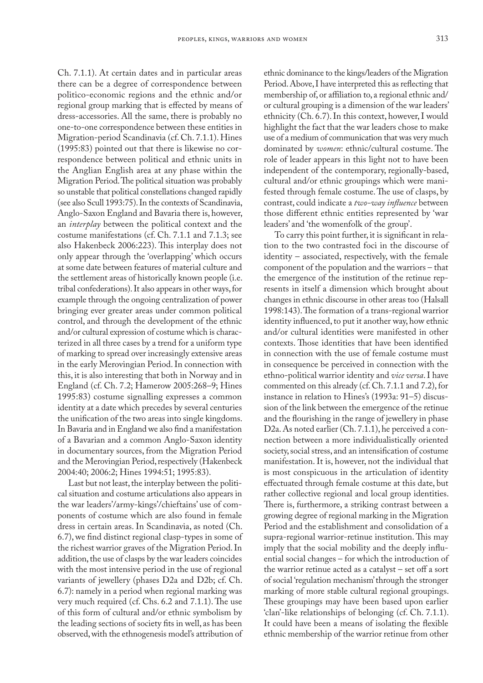Ch. 7.1.1). At certain dates and in particular areas there can be a degree of correspondence between politico-economic regions and the ethnic and/or regional group marking that is effected by means of dress-accessories. All the same, there is probably no one-to-one correspondence between these entities in Migration-period Scandinavia (cf. Ch. 7.1.1). Hines (1995:83) pointed out that there is likewise no correspondence between political and ethnic units in the Anglian English area at any phase within the Migration Period. The political situation was probably so unstable that political constellations changed rapidly (see also Scull 1993:75). In the contexts of Scandinavia, Anglo-Saxon England and Bavaria there is, however, an *interplay* between the political context and the costume manifestations (cf. Ch. 7.1.1 and 7.1.3; see also Hakenbeck 2006:223). This interplay does not only appear through the 'overlapping' which occurs at some date between features of material culture and the settlement areas of historically known people (i.e. tribal confederations). It also appears in other ways, for example through the ongoing centralization of power bringing ever greater areas under common political control, and through the development of the ethnic and/or cultural expression of costume which is characterized in all three cases by a trend for a uniform type of marking to spread over increasingly extensive areas in the early Merovingian Period. In connection with this, it is also interesting that both in Norway and in England (cf. Ch. 7.2; Hamerow 2005:268–9; Hines 1995:83) costume signalling expresses a common identity at a date which precedes by several centuries the unification of the two areas into single kingdoms. In Bavaria and in England we also find a manifestation of a Bavarian and a common Anglo-Saxon identity in documentary sources, from the Migration Period and the Merovingian Period, respectively (Hakenbeck 2004:40; 2006:2; Hines 1994:51; 1995:83).

Last but not least, the interplay between the political situation and costume articulations also appears in the war leaders'/army-kings'/chieftains' use of components of costume which are also found in female dress in certain areas. In Scandinavia, as noted (Ch. 6.7), we find distinct regional clasp-types in some of the richest warrior graves of the Migration Period. In addition, the use of clasps by the war leaders coincides with the most intensive period in the use of regional variants of jewellery (phases D2a and D2b; cf. Ch. 6.7): namely in a period when regional marking was very much required (cf. Chs. 6.2 and 7.1.1). The use of this form of cultural and/or ethnic symbolism by the leading sections of society fits in well, as has been observed, with the ethnogenesis model's attribution of

ethnic dominance to the kings/leaders of the Migration Period. Above, I have interpreted this as reflecting that membership of, or affiliation to, a regional ethnic and/ or cultural grouping is a dimension of the war leaders' ethnicity (Ch. 6.7). In this context, however, I would highlight the fact that the war leaders chose to make use of a medium of communication that was very much dominated by *women*: ethnic/cultural costume. The role of leader appears in this light not to have been independent of the contemporary, regionally-based, cultural and/or ethnic groupings which were manifested through female costume. The use of clasps, by contrast, could indicate a *two-way influence* between those different ethnic entities represented by 'war leaders' and 'the womenfolk of the group'.

To carry this point further, it is significant in relation to the two contrasted foci in the discourse of identity – associated, respectively, with the female component of the population and the warriors – that the emergence of the institution of the retinue represents in itself a dimension which brought about changes in ethnic discourse in other areas too (Halsall 1998:143). The formation of a trans-regional warrior identity influenced, to put it another way, how ethnic and/or cultural identities were manifested in other contexts. Those identities that have been identified in connection with the use of female costume must in consequence be perceived in connection with the ethno-political warrior identity and *vice versa*. I have commented on this already (cf. Ch. 7.1.1 and 7.2), for instance in relation to Hines's (1993a: 91–5) discussion of the link between the emergence of the retinue and the flourishing in the range of jewellery in phase D2a. As noted earlier (Ch. 7.1.1), he perceived a connection between a more individualistically oriented society, social stress, and an intensification of costume manifestation. It is, however, not the individual that is most conspicuous in the articulation of identity effectuated through female costume at this date, but rather collective regional and local group identities. There is, furthermore, a striking contrast between a growing degree of regional marking in the Migration Period and the establishment and consolidation of a supra-regional warrior-retinue institution. This may imply that the social mobility and the deeply influential social changes – for which the introduction of the warrior retinue acted as a catalyst – set off a sort of social 'regulation mechanism' through the stronger marking of more stable cultural regional groupings. These groupings may have been based upon earlier 'clan'-like relationships of belonging (cf. Ch. 7.1.1). It could have been a means of isolating the flexible ethnic membership of the warrior retinue from other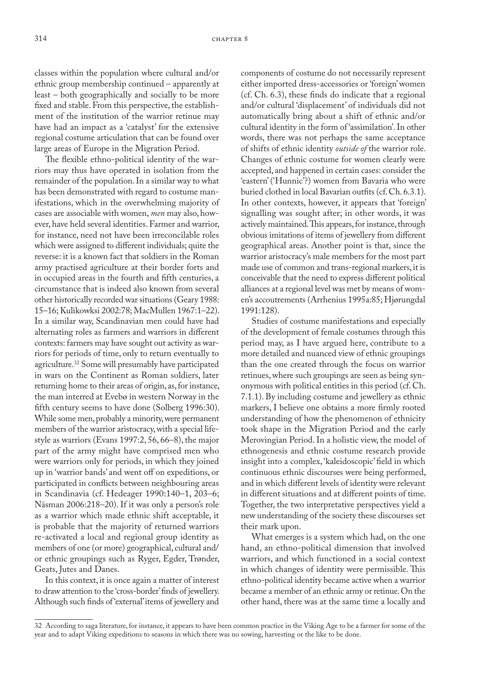classes within the population where cultural and/or ethnic group membership continued – apparently at least – both geographically and socially to be more fixed and stable. From this perspective, the establishment of the institution of the warrior retinue may have had an impact as a 'catalyst' for the extensive regional costume articulation that can be found over large areas of Europe in the Migration Period.

The flexible ethno-political identity of the warriors may thus have operated in isolation from the remainder of the population. In a similar way to what has been demonstrated with regard to costume manifestations, which in the overwhelming majority of cases are associable with women, *men* may also, however, have held several identities. Farmer and warrior, for instance, need not have been irreconcilable roles which were assigned to different individuals; quite the reverse: it is a known fact that soldiers in the Roman army practised agriculture at their border forts and in occupied areas in the fourth and fifth centuries, a circumstance that is indeed also known from several other historically recorded war situations (Geary 1988: 15–16; Kulikowksi 2002:78; MacMullen 1967:1–22). In a similar way, Scandinavian men could have had alternating roles as farmers and warriors in different contexts: farmers may have sought out activity as warriors for periods of time, only to return eventually to agriculture.<sup>32</sup> Some will presumably have participated in wars on the Continent as Roman soldiers, later returning home to their areas of origin, as, for instance, the man interred at Evebø in western Norway in the fifth century seems to have done (Solberg 1996:30). While some men, probably a minority, were permanent members of the warrior aristocracy, with a special lifestyle as warriors (Evans 1997:2, 56, 66–8), the major part of the army might have comprised men who were warriors only for periods, in which they joined up in 'warrior bands' and went off on expeditions, or participated in conflicts between neighbouring areas in Scandinavia (cf. Hedeager 1990:140–1, 203–6; Näsman 2006:218–20). If it was only a person's role as a warrior which made ethnic shift acceptable, it is probable that the majority of returned warriors re-activated a local and regional group identity as members of one (or more) geographical, cultural and/ or ethnic groupings such as Ryger, Egder, Trønder, Geats, Jutes and Danes.

In this context, it is once again a matter of interest to draw attention to the 'cross-border' finds of jewellery. Although such finds of 'external' items of jewellery and components of costume do not necessarily represent either imported dress-accessories or 'foreign' women (cf. Ch. 6.3), these finds do indicate that a regional and/or cultural 'displacement' of individuals did not automatically bring about a shift of ethnic and/or cultural identity in the form of 'assimilation'. In other words, there was not perhaps the same acceptance of shifts of ethnic identity *outside of* the warrior role. Changes of ethnic costume for women clearly were accepted, and happened in certain cases: consider the 'eastern' ('Hunnic'?) women from Bavaria who were buried clothed in local Bavarian outfits (cf. Ch. 6.3.1). In other contexts, however, it appears that 'foreign' signalling was sought after; in other words, it was actively maintained. This appears, for instance, through obvious imitations of items of jewellery from different geographical areas. Another point is that, since the warrior aristocracy's male members for the most part made use of common and trans-regional markers, it is conceivable that the need to express different political alliances at a regional level was met by means of women's accoutrements (Arrhenius 1995a:85; Hjørungdal 1991:128).

Studies of costume manifestations and especially of the development of female costumes through this period may, as I have argued here, contribute to a more detailed and nuanced view of ethnic groupings than the one created through the focus on warrior retinues, where such groupings are seen as being synonymous with political entities in this period (cf. Ch. 7.1.1). By including costume and jewellery as ethnic markers, I believe one obtains a more firmly rooted understanding of how the phenomenon of ethnicity took shape in the Migration Period and the early Merovingian Period. In a holistic view, the model of ethnogenesis and ethnic costume research provide insight into a complex, 'kaleidoscopic' field in which continuous ethnic discourses were being performed, and in which different levels of identity were relevant in different situations and at different points of time. Together, the two interpretative perspectives yield a new understanding of the society these discourses set their mark upon.

What emerges is a system which had, on the one hand, an ethno-political dimension that involved warriors, and which functioned in a social context in which changes of identity were permissible. This ethno-political identity became active when a warrior became a member of an ethnic army or retinue. On the other hand, there was at the same time a locally and

<sup>32</sup> According to saga literature, for instance, it appears to have been common practice in the Viking Age to be a farmer for some of the year and to adapt Viking expeditions to seasons in which there was no sowing, harvesting or the like to be done.